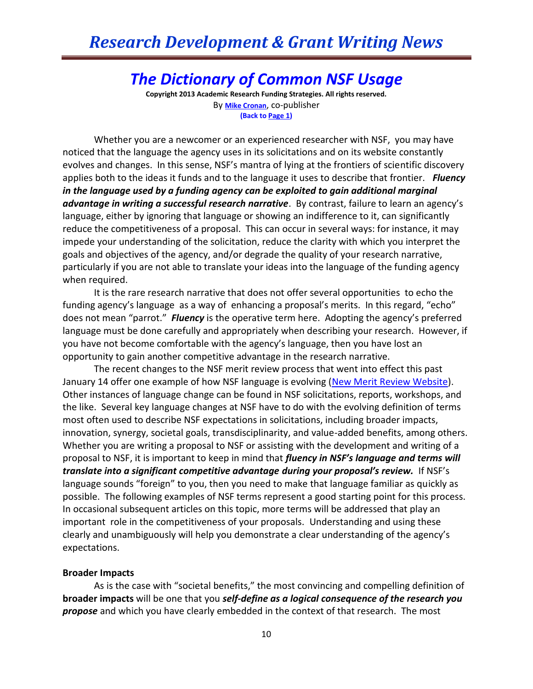## *The Dictionary of Common NSF Usage*

**Copyright 2013 Academic Research Funding Strategies. All rights reserved.** By **[Mike Cronan](mailto:mjcronan@gmail.com)**, co-publisher **(Back to Page 1)**

Whether you are a newcomer or an experienced researcher with NSF, you may have noticed that the language the agency uses in its solicitations and on its website constantly evolves and changes. In this sense, NSF's mantra of lying at the frontiers of scientific discovery applies both to the ideas it funds and to the language it uses to describe that frontier. *Fluency in the language used by a funding agency can be exploited to gain additional marginal advantage in writing a successful research narrative*. By contrast, failure to learn an agency's language, either by ignoring that language or showing an indifference to it, can significantly reduce the competitiveness of a proposal. This can occur in several ways: for instance, it may impede your understanding of the solicitation, reduce the clarity with which you interpret the goals and objectives of the agency, and/or degrade the quality of your research narrative, particularly if you are not able to translate your ideas into the language of the funding agency when required.

It is the rare research narrative that does not offer several opportunities to echo the funding agency's language as a way of enhancing a proposal's merits. In this regard, "echo" does not mean "parrot." *Fluency* is the operative term here. Adopting the agency's preferred language must be done carefully and appropriately when describing your research. However, if you have not become comfortable with the agency's language, then you have lost an opportunity to gain another competitive advantage in the research narrative.

The recent changes to the NSF merit review process that went into effect this past January 14 offer one example of how NSF language is evolving (New [Merit Review Website\)](http://www.nsf.gov/bfa/dias/policy/merit_review/). Other instances of language change can be found in NSF solicitations, reports, workshops, and the like. Several key language changes at NSF have to do with the evolving definition of terms most often used to describe NSF expectations in solicitations, including broader impacts, innovation, synergy, societal goals, transdisciplinarity, and value-added benefits, among others. Whether you are writing a proposal to NSF or assisting with the development and writing of a proposal to NSF, it is important to keep in mind that *fluency in NSF's language and terms will translate into a significant competitive advantage during your proposal's review.* If NSF's language sounds "foreign" to you, then you need to make that language familiar as quickly as possible. The following examples of NSF terms represent a good starting point for this process. In occasional subsequent articles on this topic, more terms will be addressed that play an important role in the competitiveness of your proposals. Understanding and using these clearly and unambiguously will help you demonstrate a clear understanding of the agency's expectations.

#### **Broader Impacts**

As is the case with "societal benefits," the most convincing and compelling definition of **broader impacts** will be one that you *self-define as a logical consequence of the research you propose* and which you have clearly embedded in the context of that research. The most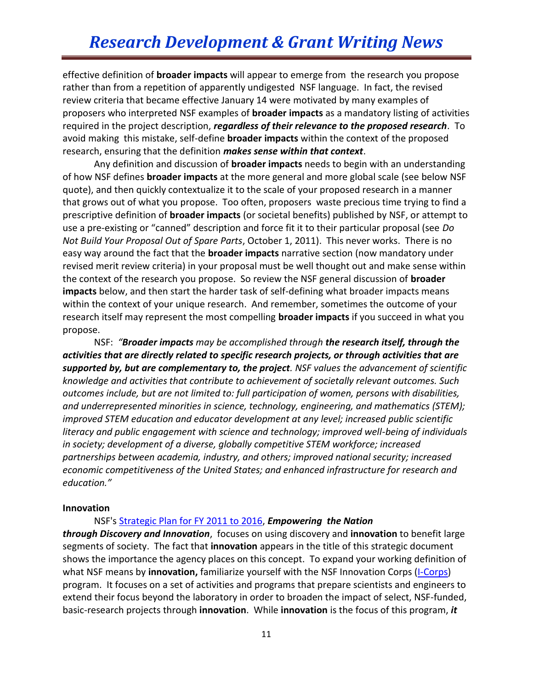effective definition of **broader impacts** will appear to emerge from the research you propose rather than from a repetition of apparently undigested NSF language. In fact, the revised review criteria that became effective January 14 were motivated by many examples of proposers who interpreted NSF examples of **broader impacts** as a mandatory listing of activities required in the project description, *regardless of their relevance to the proposed research*. To avoid making this mistake, self-define **broader impacts** within the context of the proposed research, ensuring that the definition *makes sense within that context*.

Any definition and discussion of **broader impacts** needs to begin with an understanding of how NSF defines **broader impacts** at the more general and more global scale (see below NSF quote), and then quickly contextualize it to the scale of your proposed research in a manner that grows out of what you propose. Too often, proposers waste precious time trying to find a prescriptive definition of **broader impacts** (or societal benefits) published by NSF, or attempt to use a pre-existing or "canned" description and force fit it to their particular proposal (see *Do Not Build Your Proposal Out of Spare Parts*, October 1, 2011). This never works. There is no easy way around the fact that the **broader impacts** narrative section (now mandatory under revised merit review criteria) in your proposal must be well thought out and make sense within the context of the research you propose. So review the NSF general discussion of **broader impacts** below, and then start the harder task of self-defining what broader impacts means within the context of your unique research. And remember, sometimes the outcome of your research itself may represent the most compelling **broader impacts** if you succeed in what you propose.

NSF: *"Broader impacts may be accomplished through the research itself, through the activities that are directly related to specific research projects, or through activities that are supported by, but are complementary to, the project. NSF values the advancement of scientific knowledge and activities that contribute to achievement of societally relevant outcomes. Such outcomes include, but are not limited to: full participation of women, persons with disabilities, and underrepresented minorities in science, technology, engineering, and mathematics (STEM); improved STEM education and educator development at any level; increased public scientific literacy and public engagement with science and technology; improved well-being of individuals in society; development of a diverse, globally competitive STEM workforce; increased partnerships between academia, industry, and others; improved national security; increased economic competitiveness of the United States; and enhanced infrastructure for research and education."* 

#### **Innovation**

NSF's [Strategic Plan for FY 2011 to 2016,](http://www.nsf.gov/news/strategicplan/) *Empowering the Nation*

*through Discovery and Innovation*, focuses on using discovery and **innovation** to benefit large segments of society. The fact that **innovation** appears in the title of this strategic document shows the importance the agency places on this concept. To expand your working definition of what NSF means by **innovation,** familiarize yourself with the NSF Innovation Corps [\(I-Corps\)](http://www.nsf.gov/news/special_reports/i-corps/) program. It focuses on a set of activities and programs that prepare scientists and engineers to extend their focus beyond the laboratory in order to broaden the impact of select, NSF-funded, basic-research projects through **innovation**. While **innovation** is the focus of this program, *it*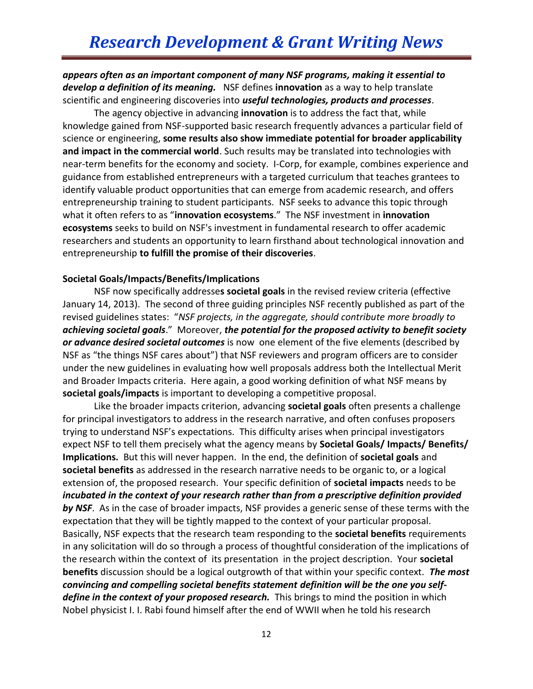*appears often as an important component of many NSF programs, making it essential to develop a definition of its meaning.* NSF defines **innovation** as a way to help translate scientific and engineering discoveries into *useful technologies, products and processes*.

The agency objective in advancing **innovation** is to address the fact that, while knowledge gained from NSF-supported basic research frequently advances a particular field of science or engineering, **some results also show immediate potential for broader applicability and impact in the commercial world**. Such results may be translated into technologies with near-term benefits for the economy and society. I-Corp, for example, combines experience and guidance from established entrepreneurs with a targeted curriculum that teaches grantees to identify valuable product opportunities that can emerge from academic research, and offers entrepreneurship training to student participants. NSF seeks to advance this topic through what it often refers to as "**innovation ecosystems**." The NSF investment in **innovation ecosystems** seeks to build on NSF's investment in fundamental research to offer academic researchers and students an opportunity to learn firsthand about technological innovation and entrepreneurship **to fulfill the promise of their discoveries**.

#### **Societal Goals/Impacts/Benefits/Implications**

NSF now specifically addresse**s societal goals** in the revised review criteria (effective January 14, 2013). The second of three guiding principles NSF recently published as part of the revised guidelines states: "*NSF projects, in the aggregate, should contribute more broadly to achieving societal goals*." Moreover, *the potential for the proposed activity to benefit society or advance desired societal outcomes* is now one element of the five elements (described by NSF as "the things NSF cares about") that NSF reviewers and program officers are to consider under the new guidelines in evaluating how well proposals address both the Intellectual Merit and Broader Impacts criteria. Here again, a good working definition of what NSF means by **societal goals/impacts** is important to developing a competitive proposal.

Like the broader impacts criterion, advancing **societal goals** often presents a challenge for principal investigators to address in the research narrative, and often confuses proposers trying to understand NSF's expectations. This difficulty arises when principal investigators expect NSF to tell them precisely what the agency means by **Societal Goals/ Impacts/ Benefits/ Implications.** But this will never happen. In the end, the definition of **societal goals** and **societal benefits** as addressed in the research narrative needs to be organic to, or a logical extension of, the proposed research. Your specific definition of **societal impacts** needs to be *incubated in the context of your research rather than from a prescriptive definition provided by NSF*. As in the case of broader impacts, NSF provides a generic sense of these terms with the expectation that they will be tightly mapped to the context of your particular proposal. Basically, NSF expects that the research team responding to the **societal benefits** requirements in any solicitation will do so through a process of thoughtful consideration of the implications of the research within the context of its presentation in the project description. Your **societal benefits** discussion should be a logical outgrowth of that within your specific context. *The most convincing and compelling societal benefits statement definition will be the one you self*define in the context of your proposed research. This brings to mind the position in which Nobel physicist I. I. Rabi found himself after the end of WWII when he told his research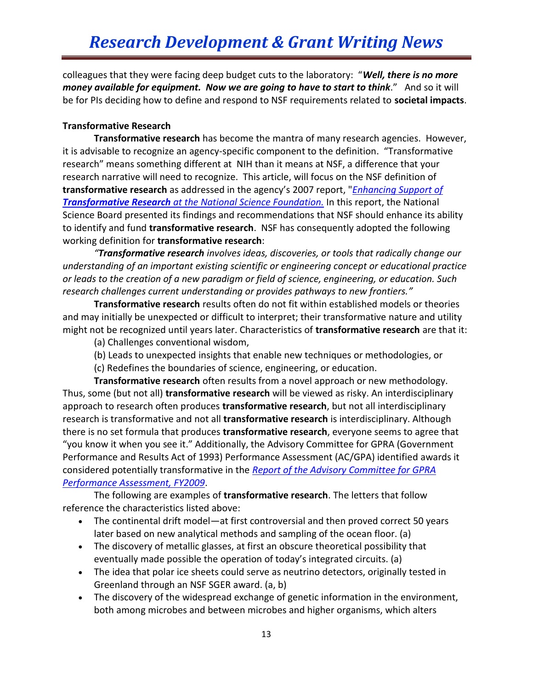colleagues that they were facing deep budget cuts to the laboratory: "*Well, there is no more money available for equipment. Now we are going to have to start to think*." And so it will be for PIs deciding how to define and respond to NSF requirements related to **societal impacts**.

### **Transformative Research**

**Transformative research** has become the mantra of many research agencies. However, it is advisable to recognize an agency-specific component to the definition. "Transformative research" means something different at NIH than it means at NSF, a difference that your research narrative will need to recognize. This article, will focus on the NSF definition of **transformative research** as addressed in the agency's 2007 report, "*[Enhancing Support of](http://www.nsf.gov/nsb/documents/2007/tr_report.pdf)  Transformative Research [at the National Science Foundation.](http://www.nsf.gov/nsb/documents/2007/tr_report.pdf)* In this report, the National Science Board presented its findings and recommendations that NSF should enhance its ability to identify and fund **transformative research**. NSF has consequently adopted the following working definition for **transformative research**:

*"Transformative research involves ideas, discoveries, or tools that radically change our understanding of an important existing scientific or engineering concept or educational practice or leads to the creation of a new paradigm or field of science, engineering, or education. Such research challenges current understanding or provides pathways to new frontiers."*

**Transformative research** results often do not fit within established models or theories and may initially be unexpected or difficult to interpret; their transformative nature and utility might not be recognized until years later. Characteristics of **transformative research** are that it:

- (a) Challenges conventional wisdom,
- (b) Leads to unexpected insights that enable new techniques or methodologies, or
- (c) Redefines the boundaries of science, engineering, or education.

**Transformative research** often results from a novel approach or new methodology. Thus, some (but not all) **transformative research** will be viewed as risky. An interdisciplinary approach to research often produces **transformative research**, but not all interdisciplinary research is transformative and not all **transformative research** is interdisciplinary. Although there is no set formula that produces **transformative research**, everyone seems to agree that "you know it when you see it." Additionally, the Advisory Committee for GPRA (Government Performance and Results Act of 1993) Performance Assessment (AC/GPA) identified awards it considered potentially transformative in the *[Report of the Advisory Committee for GPRA](http://www.nsf.gov/pubs/2009/nsf09068/)  [Performance Assessment, FY2009](http://www.nsf.gov/pubs/2009/nsf09068/)*.

The following are examples of **transformative research**. The letters that follow reference the characteristics listed above:

- The continental drift model—at first controversial and then proved correct 50 years later based on new analytical methods and sampling of the ocean floor. (a)
- The discovery of metallic glasses, at first an obscure theoretical possibility that eventually made possible the operation of today's integrated circuits. (a)
- The idea that polar ice sheets could serve as neutrino detectors, originally tested in Greenland through an NSF SGER award. (a, b)
- The discovery of the widespread exchange of genetic information in the environment, both among microbes and between microbes and higher organisms, which alters